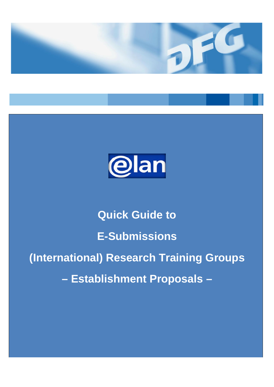



# **Quick Guide to E-Submissions (International) Research Training Groups – Establishment Proposals –**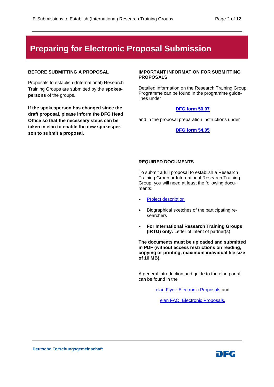## **Preparing for Electronic Proposal Submission**

#### **BEFORE SUBMITTING A PROPOSAL**

Proposals to establish (International) Research Training Groups are submitted by the **spokespersons** of the groups.

**If the spokesperson has changed since the draft proposal, please inform the DFG Head Office so that the necessary steps can be taken in elan to enable the new spokesperson to submit a proposal.** 

#### **IMPORTANT INFORMATION FOR SUBMITTING PROPOSALS**

Detailed information on the Research Training Group Programme can be found in the programme guidelines under

#### **[DFG form](http://www.dfg.de/formulare/50_07) 50.07**

and in the proposal preparation instructions under

#### **DFG form [54.05](http://www.dfg.de/formulare/54_05)**

#### **REQUIRED DOCUMENTS**

To submit a full proposal to establish a Research Training Group or International Research Training Group, you will need at least the following documents:

- **[Project](https://www.dfg.de/formulare/53_61_elan) description**
- Biographical sketches of the participating researchers
- **For International Research Training Groups (IRTG) only:** Letter of intent of partner(s)

**The documents must be uploaded and submitted in PDF (without access restrictions on reading, copying or printing, maximum individual file size of 10 MB).**

A general introduction and guide to the elan portal can be found in the

[elan Flyer: Electronic Proposals](http://www.dfg.de/download/pdf/foerderung/antragstellung/elan/flyer_eant_en.pdf) and

[elan FAQ: Electronic Proposals.](http://www.dfg.de/download/pdf/foerderung/antragstellung/elan/faq_eant_en.pdf)

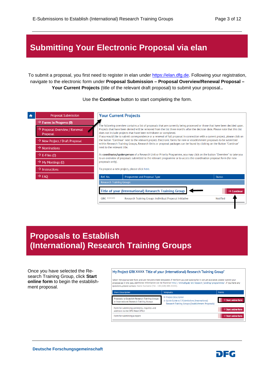## **Submitting Your Electronic Proposal via elan**

To submit a proposal, you first need to register in elan under [https://elan.dfg.de.](https://elan.dfg.de/) Following your registration, navigate to the electronic form under **Proposal Submission – Proposal Overview/Renewal Proposal – Your Current Projects** (title of the relevant draft proposal) to submit your proposal.**.**

#### $\bigstar$ **Proposal Submission Your Current Projects**  $\rightarrow$  Forms in Progress (0) .<br>The following overview contains a list of proposals that are currently being processed or those that have been decided upon.  $\rightarrow$  Proposal Overview / Renewal Projects that have been denied will be removed from the list three months after the decision date. Please note that this list does not include projects that have been withdrawn or completed. Proposal If you would like to submit correspondence or a renewal of full proposal in connection with a current project, please click on  $\rightarrow$  New Project / Draft Proposal the button "Continue" next to the relevant project. Electronic forms for new or establishment proposals to be submitted within Research Training Groups, Research Units or proposal packages can be found by clicking on the Button "Continue" next to the relevant title.  $\rightarrow$  Nominations As coordinator/spokesperson of a Research Unit or Priority Programme, you may click on the button "Overview" to take you  $\rightarrow$  E-Files (0) to an overview of proposals submitted to the relevant programme or to access the coordination proposal form (for new  $\rightarrow$  My Meetings (0) proposals only).  $\rightarrow$  Instructions To propose a new project, please click here.  $\rightarrow$  FAO Ref. No. Programme and Proposal Type Status Research Training Groups **Title of your (International) Research Training Group**  $\rightarrow$  Conti GRK XXXX/0 Research Training Groups Individual Proposal Initiative Notified

#### Use the **Continue** button to start completing the form.

## **Proposals to Establish (International) Research Training Groups**

Once you have selected the Research Training Group, click **Start online form** to begin the establishment proposal.

#### My Project GRK XXXX Title of your (International) Research Training Group"

riate form and use the prescribed templates. If the form you are looking for is not yet available, please submit you proposal as in the past. Additional information can be found at http://www.dfg.de/en/research\_funding/programmes/. If you have any Nestions please contact Nome Surnome (Tel.: +49 (228) 885-XXXX)



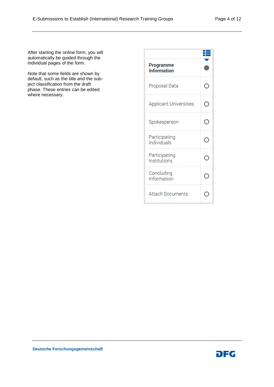After starting the online form, you will automatically be guided through the individual pages of the form.

Note that some fields are shown by default, such as the title and the subject classification from the draft phase. These entries can be edited where necessary.

| Programme<br><b>Information</b> |  |
|---------------------------------|--|
| Proposal Data                   |  |
| <b>Applicant Universities</b>   |  |
| Spokesperson                    |  |
| Participating<br>Individuals    |  |
| Participating<br>Institutions   |  |
| Concluding<br>Information       |  |
| Attach Documents                |  |

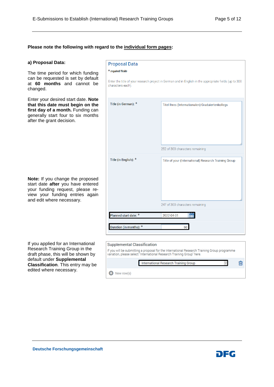#### **Please note the following with regard to the individual form pages:**

#### **a) Proposal Data:**

The time period for which funding can be requested is set by default at **60 months** and cannot be changed.

Enter your desired start date. **Note that this date must begin on the first day of a month.** Funding can generally start four to six months after the grant decision.

**Note:** If you change the proposed start date **after** you have entered your funding request, please review your funding entries again and edit where necessary.

If you applied for an International Research Training Group in the draft phase, this will be shown by default under **Supplemental Classification**. This entry may be edited where necessary.

| <b>Proposal Data</b>    |                                                                                                        |
|-------------------------|--------------------------------------------------------------------------------------------------------|
| * required fields       |                                                                                                        |
| characters each).       | Enter the title of your research project in German and in English in the appropriate fields (up to 300 |
| Title (in German): *    | Titel Ihres (Internationalen) Graduiertenkollegs                                                       |
|                         | 252 of 300 characters remaining                                                                        |
| Title (in English): *   | Title of your (International) Research Training Group                                                  |
|                         | 247 of 300 characters remaining                                                                        |
| Planned start date: *   | 2022-04-01                                                                                             |
| Duration (in months): * | 60                                                                                                     |

#### **Supplemental Classification**

If you will be submitting a proposal for the International Research Training Group programme<br>variation, please select "International Research Training Group" here.

|            | International Research Training Group |  |
|------------|---------------------------------------|--|
| New row(s) |                                       |  |

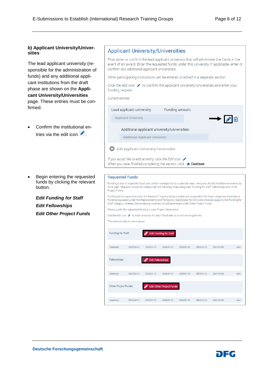#### **b) Applicant University/Universities**

The lead applicant university (responsible for the administration of funds) and any additional applicant institutions from the draft phase are shown on the **Applicant University/Universities**  page. These entries must be confirmed.

- Confirm the institutional entries via the edit icon  $\rightarrow$ .
- Begin entering the requested funds by clicking the relevant button.

*Edit Funding for Staff Edit Fellowships Edit Other Project Funds*

#### **Applicant University/Universities**

First, enter or confirm the lead applicant university that will administer the funds in the event of an award. Enter the requested funds under this university. If applicable, enter or confirm any additional applicant universities.

Other participating institutions can be entered or edited in a separate section.

Click the edit icon  $\bullet$  to confirm the applicant university/universities and enter your funding request.

Current entries:

| Lead applicant university:                                         | Funding amount: |                                             |  |
|--------------------------------------------------------------------|-----------------|---------------------------------------------|--|
| <b>Applicant University</b>                                        |                 | $\rightarrow$ $\rightarrow$ $\circ$ $\circ$ |  |
| Additional applicant university/universities:                      |                 |                                             |  |
| <b>Additional Applicant University</b>                             |                 |                                             |  |
| <b>Add Applicant University/Universities</b>                       |                 |                                             |  |
| If you would like to edit an entry, click the Edit Icon $\infty$ . |                 |                                             |  |

When you have finished completing the section, click  $\rightarrow$  Continue.

#### **Requested Funds**

Funding is tied to a specific fiscal year (which corresponds to a calendar year). Amounts should therefore be entered by fiscal year. Requests should be made under the following three categories: Funding for Staff, Fellowships and Other Project Funds.

Funding items requested under the Research Training Group module are assigned to the three categories listed above Funding requested under the Replacements and Temporary Substitutes for Clinicians modules apply to the Funding for Staff category, whereas the remaining modules should be entered under Other Project Funds.

Please justify the requested funding in your Project Description.

Use the edit icon to enter amounts for each fiscal year or to edit existing entries.

The amounts shown are in euros

| Funding for Staff:          |            |                         | <b>Edit Funding for Staff</b>   |            |            |            |     |
|-----------------------------|------------|-------------------------|---------------------------------|------------|------------|------------|-----|
| Summary                     | 2022/04-12 | 2023/01-12              | 2024/01-12                      | 2025/01-12 | 2026/01-12 | 2027/01-03 | Sum |
|                             |            |                         |                                 |            |            |            |     |
| Fellowships:                |            | <b>Edit Fellowships</b> |                                 |            |            |            |     |
| Summary                     | 2022/04-12 | 2023/01-12              | 2024/01-12                      | 2025/01-12 | 2026/01-12 | 2027/01-03 | Sum |
| <b>Other Project Funds:</b> |            |                         | <b>Edit Other Project Funds</b> |            |            |            |     |
|                             |            |                         |                                 |            |            |            |     |
| Summary                     | 2022/04-12 | 2023/01-12              | 2024/01-12                      | 2025/01-12 | 2026/01-12 | 2027/01-03 | Sum |

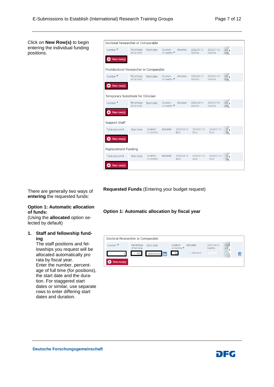Click on **New Row(s)** to begin entering the individual funding positions.

| Doctoral Researcher or Comparable         |                            |                              |                                |                    |                             |                      |                                 |  |
|-------------------------------------------|----------------------------|------------------------------|--------------------------------|--------------------|-----------------------------|----------------------|---------------------------------|--|
| Number <sup>*</sup>                       | Percentage<br>of full time | Start date                   | <b>Duration</b><br>in months * | allocated          | 2022/04-12<br><b>Months</b> | 2023/01-12<br>Months | 207 <sub>3</sub><br>Mon.        |  |
| New row(s)                                |                            |                              |                                |                    |                             |                      |                                 |  |
| Postdoctoral Researcher or Comparable     |                            |                              |                                |                    |                             |                      |                                 |  |
| Number *                                  | Percentage<br>of full time | Start date                   | Duration<br>in months *        | allocated          | 2022/04-12<br>Months        | 2023/01-12<br>Months | 207 <sub>2</sub><br>Mon.        |  |
| New row(s)                                |                            |                              |                                |                    |                             |                      |                                 |  |
| <b>Temporary Substitute for Clinician</b> |                            |                              |                                |                    |                             |                      |                                 |  |
| Number <sup>*</sup>                       | Percentage<br>of full time | Start date                   | Duration<br>in months *        | allocated          | 2022/04-12<br>Months        | 2023/01-12<br>Months | 207 <sub>3</sub><br>Mon.        |  |
| New row(s)                                |                            |                              |                                |                    |                             |                      |                                 |  |
| <b>Support Staff</b>                      |                            |                              |                                |                    |                             |                      |                                 |  |
| Total amount €                            | Start date                 | Duration<br>in months        | allocated                      | 2022/04-12<br>Euro | 2023/01-12<br>Euro          | 2024/01-12<br>Euro   | $2\sqrt{25}$<br>Eu <sub>b</sub> |  |
| New row(s)                                |                            |                              |                                |                    |                             |                      |                                 |  |
| <b>Replacement Funding</b>                |                            |                              |                                |                    |                             |                      |                                 |  |
| Total amount €                            | Start date                 | <b>Duration</b><br>in months | allocated                      | 2022/04-12<br>Euro | 2023/01-12<br>Euro          | 2024/01-12<br>Euro   | 20 <sub>2</sub><br>Eü.          |  |
| New row(s)                                |                            |                              |                                |                    |                             |                      |                                 |  |

There are generally two ways of **entering** the requested funds:

#### **Option 1: Automatic allocation of funds:**

(Using the **allocated** option selected by default)

#### **1. Staff and fellowship funding**

The staff positions and fellowships you request will be allocated automatically pro rata by fiscal year. Enter the number, percentage of full time (for positions), the start date and the duration. For staggered start dates or similar, use separate rows to enter differing start dates and duration.

**Requested Funds** (Entering your budget request)

#### **Option 1: Automatic allocation by fiscal year**



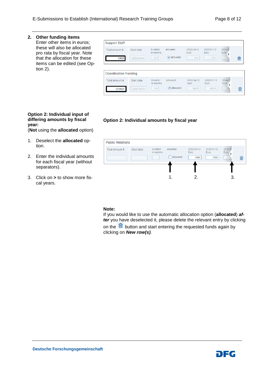#### **2. Other funding items**

Enter other items in euros; these will also be allocated pro rata by fiscal year. Note that the allocation for these items can be edited (see Option 2).

| <b>Support Staff</b>            |                          |                                    |                                        |                                  |                            |                      |   |
|---------------------------------|--------------------------|------------------------------------|----------------------------------------|----------------------------------|----------------------------|----------------------|---|
| Total amount $\epsilon$<br>5400 | Start date<br>2022-04-01 | <b>Duration</b><br>in months<br>60 | allocated<br>$\triangledown$ allocated | 2022/04-12<br><b>Furo</b><br>810 | 2023/01-12<br>Euro<br>1080 | 2024/07<br>Euro<br>> | 圙 |
|                                 |                          |                                    |                                        |                                  |                            |                      |   |
| <b>Coordination Funding</b>     |                          |                                    |                                        |                                  |                            |                      |   |
| Total amount $\epsilon$         | Start date               | <b>Duration</b><br>in months       | allocated                              | 2022/04-12<br><b>Furo</b>        | 2023/01-12<br>Euro         | 2024/01<br>Euro      |   |

#### **Option 2: Individual input of differing amounts by fiscal year:**

(**Not** using the **allocated** option)

- 1. Deselect the **allocated** option.
- 2. Enter the individual amounts for each fiscal year (without separators).
- 3. Click on **>** to show more fiscal years.

| <b>Public Relations</b> |            |                       |                        |                            |                            |                   |   |
|-------------------------|------------|-----------------------|------------------------|----------------------------|----------------------------|-------------------|---|
| Total amount €          | Start date | Duration<br>in months | allocated<br>allocated | 2022/04-12<br>Euro<br>1000 | 2023/01-12<br>Euro<br>1500 | 2024/01<br>Euro / | 勔 |
|                         |            |                       |                        | 2.                         |                            | 3.                |   |

**Option 2: Individual amounts by fiscal year**

#### **Note:**

If you would like to use the automatic allocation option (**allocated**) *after* you have deselected it, please delete the relevant entry by clicking on the  $\frac{10}{2}$  button and start entering the requested funds again by clicking on *New row(s)*.

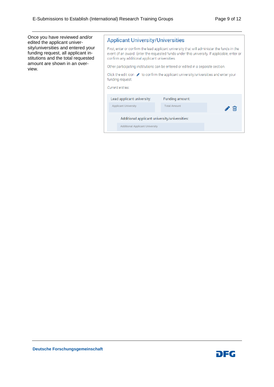Once you have reviewed and/or edited the applicant university/universities and entered your funding request, all applicant institutions and the total requested amount are shown in an overview.

| <b>Applicant University/Universities</b>                                                                                                                                                                                                     |  |  |  |  |  |
|----------------------------------------------------------------------------------------------------------------------------------------------------------------------------------------------------------------------------------------------|--|--|--|--|--|
| First, enter or confirm the lead applicant university that will administer the funds in the<br>event of an award. Enter the requested funds under this university. If applicable, enter or<br>confirm any additional applicant universities. |  |  |  |  |  |
| Other participating institutions can be entered or edited in a separate section.                                                                                                                                                             |  |  |  |  |  |
| Click the edit icon $\bullet$ to confirm the applicant university/universities and enter your<br>funding request.<br>Current entries:                                                                                                        |  |  |  |  |  |
| Lead applicant university:<br>Funding amount:                                                                                                                                                                                                |  |  |  |  |  |
| <b>Applicant University</b><br><b>Total Amount</b>                                                                                                                                                                                           |  |  |  |  |  |
| Additional applicant university/universities:                                                                                                                                                                                                |  |  |  |  |  |
| <b>Additional Applicant University</b>                                                                                                                                                                                                       |  |  |  |  |  |

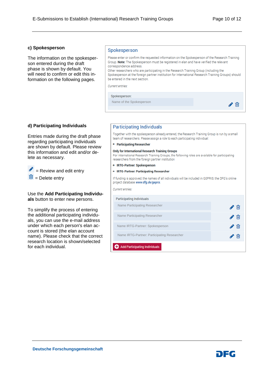#### **c) Spokesperson**

The information on the spokesperson entered during the draft phase is shown by default. You will need to confirm or edit this information on the following pages.

#### Spokesperson

Please enter or confirm the requested information on the Spokesperson of the Research Training Group. Note: The Spokesperson must be registered in elan and have verified the relevant correspondence address. Other researchers who are participating in the Research Training Group (including the Spokesperson at the foreign partner institution for International Research Training Groups) should be entered in the next section. Current entries: Spokesperson: Name of the Spokesperson ╱⋒

#### **d) Participating Individuals**

Entries made during the draft phase regarding participating individuals are shown by default. Please review this information and edit and/or delete as necessary.

 $\triangle$  = Review and edit entry

 $\frac{\overline{\mathbf{m}}}{\mathbf{m}}$  = Delete entry

#### Use the **Add Participating Individuals** button to enter new persons.

To simplify the process of entering the additional participating individuals, you can use the e-mail address under which each person's elan account is stored (the elan account name). Please check that the correct research location is shown/selected for each individual.

#### **Participating Individuals**

Together with the spokesperson already entered, the Research Training Group is run by a small team of researchers. Please assign a role to each participating individual

• Participating Researcher

#### **Only for International Research Training Groups**

For International Research Training Groups, the following roles are available for participating researchers from the foreign partner institution

- IRTG-Partner: Spokesperson
- IRTG-Partner: Participating Researcher

If funding is approved, the names of all individuals will be included in GEPRIS, the DFG's online project database www.dfg.de/gepris.

Current entries.

| <b>Participating Individuals</b>            |  |
|---------------------------------------------|--|
| Name Participating Researcher               |  |
| Name Participating Researcher               |  |
| Name IRTG-Partner: Spokesperson             |  |
| Name IRTG-Partner: Participating Researcher |  |
| <b>Add Participating Individuals</b>        |  |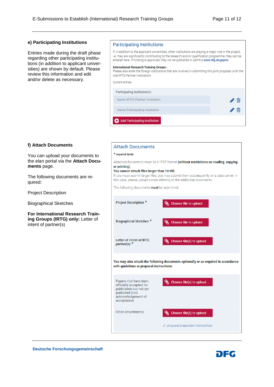#### **e) Participating Institutions**

Entries made during the draft phase regarding other participating institutions (in addition to applicant universities) are shown by default. Please review this information and edit and/or delete as necessary.

#### **Participating Institutions**

If, in addition to the applicant universities, other institutions are playing a major role in the project, i.e. they are significantly contributing to the research and/or qualification programme, they can be entered here. If funding is approved, they will be published in GEPRIS www.dfg.de/gepris. **International Research Training Groups:** Please also enter the foreign institutions that are involved in submitting this joint proposal (with the

#### role IRTG-Partner Institution).

**Attach Documents** 

G

| Participating Institution/s:   |  |
|--------------------------------|--|
| Name IRTG-Partner Institution  |  |
| Name Participating Institution |  |
| Add Participating Institution  |  |

#### **f) Attach Documents**

You can upload your documents to the elan portal via the **Attach Documents** page.

The following documents are required:

Project Description

Biographical Sketches

**For International Research Training Groups (IRTG) only:** Letter of intent of partner(s)

### \* reauired fields Attached documents must be in PDF format (without restrictions on reading, copying or printing). You cannot attach files larger than 10 MB. If you must submit larger files, you may submit them subsequently on a data carrier. In this case, please upload a note referring to the additional documents. The following documents must be submitted: **Project Description \*** Choose file to upload **Biographical Sketches \*** Choose file to upload Letter of intent of IRTG Choose file(s) to upload partner(s) You may also attach the following documents optionally or as required in accordance with quidelines or proposal instructions: Papers that have been Choose file(s) to upload officially accepted for publication but not yet published (incl. acknowledgement of acceptance) Other Attachments: Choose file(s) to upload cf. proposal preparation instructions